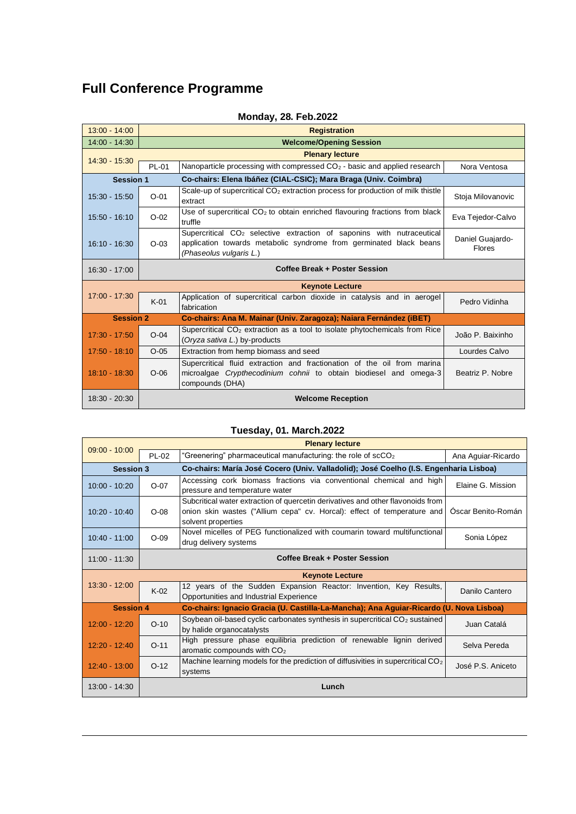## **Full Conference Programme**

| $13:00 - 14:00$                                                                     | <b>Registration</b>                                                |                                                                                                                                                                                    |                                   |
|-------------------------------------------------------------------------------------|--------------------------------------------------------------------|------------------------------------------------------------------------------------------------------------------------------------------------------------------------------------|-----------------------------------|
| $14:00 - 14:30$                                                                     | <b>Welcome/Opening Session</b>                                     |                                                                                                                                                                                    |                                   |
|                                                                                     |                                                                    | <b>Plenary lecture</b>                                                                                                                                                             |                                   |
| $14:30 - 15:30$                                                                     | PL-01                                                              | Nanoparticle processing with compressed CO <sub>2</sub> - basic and applied research                                                                                               | Nora Ventosa                      |
| Co-chairs: Elena Ibáñez (CIAL-CSIC); Mara Braga (Univ. Coimbra)<br><b>Session 1</b> |                                                                    |                                                                                                                                                                                    |                                   |
| $15:30 - 15:50$                                                                     | $O - 01$                                                           | Scale-up of supercritical $CO2$ extraction process for production of milk thistle<br>extract                                                                                       | Stoja Milovanovic                 |
| $15:50 - 16:10$                                                                     | $O-02$                                                             | Use of supercritical $CO2$ to obtain enriched flavouring fractions from black<br>truffle                                                                                           | Eva Tejedor-Calvo                 |
| $16:10 - 16:30$                                                                     | $O-03$                                                             | Supercritical CO <sub>2</sub> selective extraction of saponins with nutraceutical<br>application towards metabolic syndrome from germinated black beans<br>(Phaseolus vulgaris L.) | Daniel Guajardo-<br><b>Flores</b> |
| $16:30 - 17:00$                                                                     | Coffee Break + Poster Session                                      |                                                                                                                                                                                    |                                   |
|                                                                                     |                                                                    | <b>Keynote Lecture</b>                                                                                                                                                             |                                   |
| $17:00 - 17:30$                                                                     | $K-01$                                                             | Application of supercritical carbon dioxide in catalysis and in aerogel<br>fabrication                                                                                             | Pedro Vidinha                     |
| <b>Session 2</b>                                                                    | Co-chairs: Ana M. Mainar (Univ. Zaragoza); Naiara Fernández (iBET) |                                                                                                                                                                                    |                                   |
| $17:30 - 17:50$                                                                     | $O - 04$                                                           | Supercritical $CO2$ extraction as a tool to isolate phytochemicals from Rice<br>(Oryza sativa L.) by-products                                                                      | João P. Baixinho                  |
| $17:50 - 18:10$                                                                     | $O-05$                                                             | Extraction from hemp biomass and seed                                                                                                                                              | Lourdes Calvo                     |
| $18:10 - 18:30$                                                                     | $O-06$                                                             | Supercritical fluid extraction and fractionation of the oil from marina<br>microalgae Crypthecodinium cohnii to obtain biodiesel and omega-3<br>compounds (DHA)                    | Beatriz P. Nobre                  |
| 18:30 - 20:30                                                                       |                                                                    | <b>Welcome Reception</b>                                                                                                                                                           |                                   |

### **Monday, 28. Feb.2022**

#### **Tuesday, 01. March.2022**

| <b>Plenary lecture</b><br>$09:00 - 10:00$ |                                                                                                            |                                                                                                                                                                                  |                    |
|-------------------------------------------|------------------------------------------------------------------------------------------------------------|----------------------------------------------------------------------------------------------------------------------------------------------------------------------------------|--------------------|
|                                           | PL-02                                                                                                      | "Greenering" pharmaceutical manufacturing: the role of scCO <sub>2</sub>                                                                                                         | Ana Aguiar-Ricardo |
| <b>Session 3</b>                          |                                                                                                            | Co-chairs: María José Cocero (Univ. Valladolid); José Coelho (I.S. Engenharia Lisboa)                                                                                            |                    |
| $10:00 - 10:20$                           | $O-07$                                                                                                     | Accessing cork biomass fractions via conventional chemical and high<br>pressure and temperature water                                                                            | Elaine G. Mission  |
| $10:20 - 10:40$                           | $O-08$                                                                                                     | Subcritical water extraction of quercetin derivatives and other flavonoids from<br>onion skin wastes ("Allium cepa" cv. Horcal): effect of temperature and<br>solvent properties | Oscar Benito-Román |
| $10:40 - 11:00$                           | $O-09$                                                                                                     | Novel micelles of PEG functionalized with coumarin toward multifunctional<br>drug delivery systems                                                                               | Sonia López        |
| $11:00 - 11:30$                           | Coffee Break + Poster Session                                                                              |                                                                                                                                                                                  |                    |
| <b>Keynote Lecture</b>                    |                                                                                                            |                                                                                                                                                                                  |                    |
| $13:30 - 12:00$                           | $K-02$                                                                                                     | 12 years of the Sudden Expansion Reactor: Invention, Key Results,<br>Opportunities and Industrial Experience                                                                     | Danilo Cantero     |
|                                           | <b>Session 4</b><br>Co-chairs: Ignacio Gracia (U. Castilla-La-Mancha); Ana Aguiar-Ricardo (U. Nova Lisboa) |                                                                                                                                                                                  |                    |
| $12:00 - 12:20$                           | $O-10$                                                                                                     | Soybean oil-based cyclic carbonates synthesis in supercritical $CO2$ sustained<br>by halide organocatalysts                                                                      | Juan Catalá        |
| $12:20 - 12:40$                           | $O-11$                                                                                                     | High pressure phase equilibria prediction of renewable lignin derived<br>aromatic compounds with CO <sub>2</sub>                                                                 | Selva Pereda       |
| $12:40 - 13:00$                           | $O-12$                                                                                                     | Machine learning models for the prediction of diffusivities in supercritical CO <sub>2</sub><br>systems                                                                          | José P.S. Aniceto  |
| $13:00 - 14:30$                           |                                                                                                            | Lunch                                                                                                                                                                            |                    |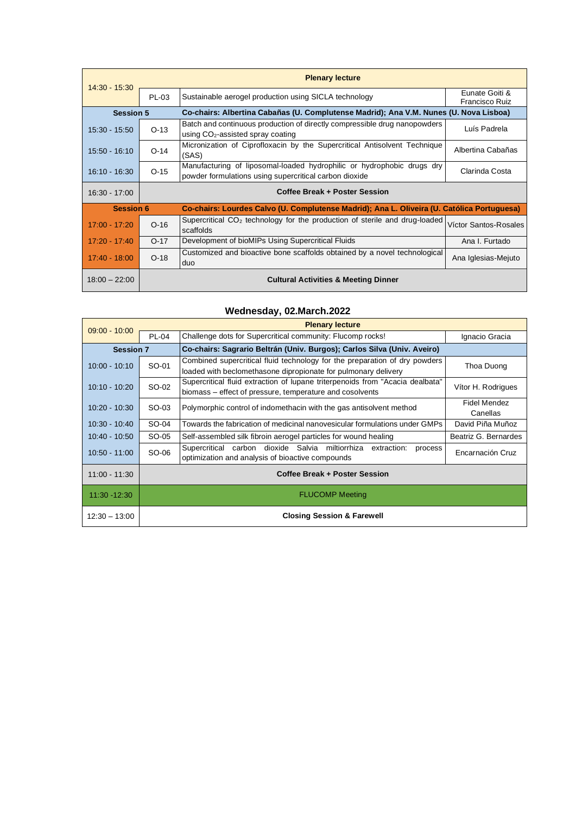| $14:30 - 15:30$  |                                                                                                                | <b>Plenary lecture</b>                                                                                                           |                                  |
|------------------|----------------------------------------------------------------------------------------------------------------|----------------------------------------------------------------------------------------------------------------------------------|----------------------------------|
|                  | PL-03                                                                                                          | Sustainable aerogel production using SICLA technology                                                                            | Eunate Goiti &<br>Francisco Ruiz |
| <b>Session 5</b> |                                                                                                                | Co-chairs: Albertina Cabañas (U. Complutense Madrid); Ana V.M. Nunes (U. Nova Lisboa)                                            |                                  |
| $15:30 - 15:50$  | $O-13$                                                                                                         | Batch and continuous production of directly compressible drug nanopowders<br>using CO <sub>2</sub> -assisted spray coating       | Luís Padrela                     |
| $15:50 - 16:10$  | $O-14$                                                                                                         | Micronization of Ciprofloxacin by the Supercritical Antisolvent Technique<br>(SAS)                                               | Albertina Cabañas                |
| $16:10 - 16:30$  | $O-15$                                                                                                         | Manufacturing of liposomal-loaded hydrophilic or hydrophobic drugs dry<br>powder formulations using supercritical carbon dioxide | Clarinda Costa                   |
| $16:30 - 17:00$  | <b>Coffee Break + Poster Session</b>                                                                           |                                                                                                                                  |                                  |
|                  | <b>Session 6</b><br>Co-chairs: Lourdes Calvo (U. Complutense Madrid); Ana L. Oliveira (U. Católica Portuguesa) |                                                                                                                                  |                                  |
| $17:00 - 17:20$  | $O-16$                                                                                                         | Supercritical $CO2$ technology for the production of sterile and drug-loaded                                                     | Víctor Santos-Rosales            |
|                  |                                                                                                                | scaffolds                                                                                                                        |                                  |
| $17:20 - 17:40$  | $O-17$                                                                                                         | Development of bioMIPs Using Supercritical Fluids                                                                                | Ana I. Furtado                   |
| $17:40 - 18:00$  | $O-18$                                                                                                         | Customized and bioactive bone scaffolds obtained by a novel technological<br>duo                                                 | Ana Iglesias-Mejuto              |

#### **Wednesday, 02.March.2022**

| <b>Plenary lecture</b><br>$09:00 - 10:00$<br>Challenge dots for Supercritical community: Flucomp rocks!<br><b>PL-04</b> |                               |                                                                                                                                              |                          |
|-------------------------------------------------------------------------------------------------------------------------|-------------------------------|----------------------------------------------------------------------------------------------------------------------------------------------|--------------------------|
|                                                                                                                         |                               |                                                                                                                                              | Ignacio Gracia           |
| <b>Session 7</b>                                                                                                        |                               | Co-chairs: Sagrario Beltrán (Univ. Burgos); Carlos Silva (Univ. Aveiro)                                                                      |                          |
| $10:00 - 10:10$                                                                                                         | SO-01                         | Combined supercritical fluid technology for the preparation of dry powders<br>loaded with beclomethasone dipropionate for pulmonary delivery | Thoa Duong               |
| $10:10 - 10:20$                                                                                                         | SO-02                         | Supercritical fluid extraction of lupane triterpenoids from "Acacia dealbata"<br>biomass – effect of pressure, temperature and cosolvents    | Vítor H. Rodrigues       |
| $10:20 - 10:30$                                                                                                         | SO-03                         | Polymorphic control of indomethacin with the gas antisolvent method                                                                          | Fidel Mendez<br>Canellas |
| $10:30 - 10:40$                                                                                                         | SO-04                         | Towards the fabrication of medicinal nanovesicular formulations under GMPs                                                                   | David Piña Muñoz         |
| $10:40 - 10:50$                                                                                                         | SO-05                         | Self-assembled silk fibroin aerogel particles for wound healing<br>Beatriz G. Bernardes                                                      |                          |
| $10:50 - 11:00$                                                                                                         | SO-06                         | dioxide Salvia miltiorrhiza<br>Supercritical carbon<br>extraction:<br>process<br>optimization and analysis of bioactive compounds            | Encarnación Cruz         |
| $11:00 - 11:30$                                                                                                         | Coffee Break + Poster Session |                                                                                                                                              |                          |
| $11:30 - 12:30$                                                                                                         | <b>FLUCOMP Meeting</b>        |                                                                                                                                              |                          |
| $12:30 - 13:00$                                                                                                         |                               | <b>Closing Session &amp; Farewell</b>                                                                                                        |                          |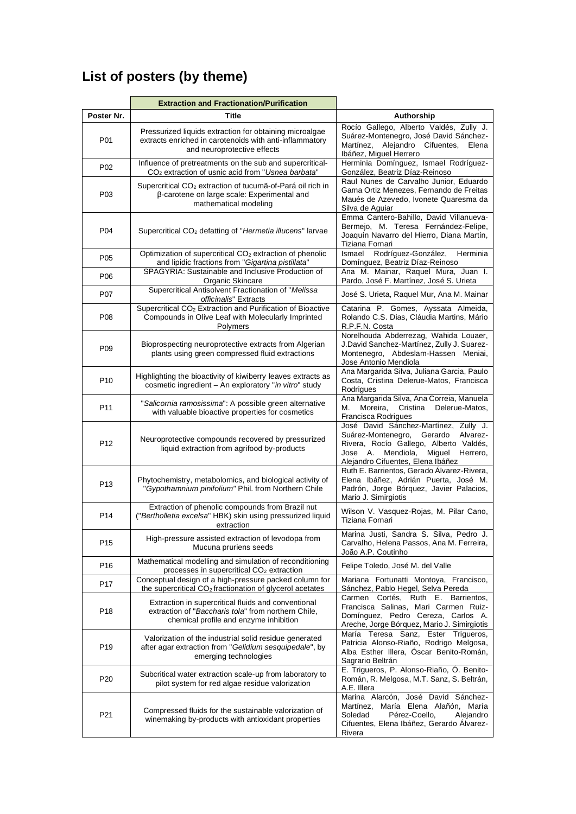# **List of posters (by theme)**

|                 | <b>Extraction and Fractionation/Purification</b>                                                                                                     |                                                                                                                                                                                                              |
|-----------------|------------------------------------------------------------------------------------------------------------------------------------------------------|--------------------------------------------------------------------------------------------------------------------------------------------------------------------------------------------------------------|
| Poster Nr.      | <b>Title</b>                                                                                                                                         | Authorship                                                                                                                                                                                                   |
| P01             | Pressurized liquids extraction for obtaining microalgae<br>extracts enriched in carotenoids with anti-inflammatory<br>and neuroprotective effects    | Rocío Gallego, Alberto Valdés, Zully J.<br>Suárez-Montenegro, José David Sánchez-<br>Martínez,<br>Alejandro Cifuentes,<br>Elena<br>Ibáñez, Miguel Herrero                                                    |
| P02             | Influence of pretreatments on the sub and supercritical-<br>CO <sub>2</sub> extraction of usnic acid from "Usnea barbata"                            | Herminia Domínguez, Ismael Rodríguez-<br>González, Beatriz Díaz-Reinoso                                                                                                                                      |
| P03             | Supercritical CO <sub>2</sub> extraction of tucumã-of-Pará oil rich in<br>β-carotene on large scale: Experimental and<br>mathematical modeling       | Raul Nunes de Carvalho Junior, Eduardo<br>Gama Ortiz Menezes, Fernando de Freitas<br>Maués de Azevedo, Ivonete Quaresma da<br>Silva de Aguiar                                                                |
| P04             | Supercritical CO <sub>2</sub> defatting of "Hermetia illucens" larvae                                                                                | Emma Cantero-Bahillo, David Villanueva-<br>Bermejo, M. Teresa Fernández-Felipe,<br>Joaquín Navarro del Hierro, Diana Martín,<br>Tiziana Fornari                                                              |
| P <sub>05</sub> | Optimization of supercritical CO <sub>2</sub> extraction of phenolic<br>and lipidic fractions from "Gigartina pistillata"                            | Rodríguez-González,<br>Ismael<br>Herminia<br>Domínguez, Beatriz Díaz-Reinoso                                                                                                                                 |
| P <sub>06</sub> | SPAGYRIA: Sustainable and Inclusive Production of<br>Organic Skincare                                                                                | Ana M. Mainar, Raquel Mura, Juan I.<br>Pardo, José F. Martínez, José S. Urieta                                                                                                                               |
| P07             | Supercritical Antisolvent Fractionation of "Melissa<br>officinalis" Extracts                                                                         | José S. Urieta, Raquel Mur, Ana M. Mainar                                                                                                                                                                    |
| P <sub>08</sub> | Supercritical CO <sub>2</sub> Extraction and Purification of Bioactive<br>Compounds in Olive Leaf with Molecularly Imprinted<br>Polymers             | Catarina P. Gomes, Ayssata Almeida,<br>Rolando C.S. Dias, Cláudia Martins, Mário<br>R.P.F.N. Costa                                                                                                           |
| P <sub>09</sub> | Bioprospecting neuroprotective extracts from Algerian<br>plants using green compressed fluid extractions                                             | Norelhouda Abderrezag, Wahida Louaer,<br>J.David Sanchez-Martínez, Zully J. Suarez-<br>Montenegro, Abdeslam-Hassen Meniai,<br>Jose Antonio Mendiola                                                          |
| P <sub>10</sub> | Highlighting the bioactivity of kiwiberry leaves extracts as<br>cosmetic ingredient - An exploratory "in vitro" study                                | Ana Margarida Silva, Juliana Garcia, Paulo<br>Costa, Cristina Delerue-Matos, Francisca<br>Rodrigues                                                                                                          |
| P11             | "Salicornia ramosissima": A possible green alternative<br>with valuable bioactive properties for cosmetics                                           | Ana Margarida Silva, Ana Correia, Manuela<br>Moreira,<br>Cristina<br>Delerue-Matos,<br>М.<br>Francisca Rodrigues                                                                                             |
| P <sub>12</sub> | Neuroprotective compounds recovered by pressurized<br>liquid extraction from agrifood by-products                                                    | José David Sánchez-Martínez, Zully J.<br>Suárez-Montenegro,<br>Alvarez-<br>Gerardo<br>Rivera, Rocío Gallego, Alberto Valdés,<br>Mendiola,<br>Miguel Herrero,<br>Jose A.<br>Alejandro Cifuentes, Elena Ibáñez |
| P <sub>13</sub> | Phytochemistry, metabolomics, and biological activity of<br>"Gypothamnium pinifolium" Phil. from Northern Chile                                      | Ruth E. Barrientos, Gerado Álvarez-Rivera,<br>Elena Ibáñez, Adrián Puerta, José M.<br>Padrón, Jorge Bórquez, Javier Palacios,<br>Mario J. Simirgiotis                                                        |
| P <sub>14</sub> | Extraction of phenolic compounds from Brazil nut<br>("Bertholletia excelsa" HBK) skin using pressurized liquid<br>extraction                         | Wilson V. Vasquez-Rojas, M. Pilar Cano,<br>Tiziana Fornari                                                                                                                                                   |
| P <sub>15</sub> | High-pressure assisted extraction of levodopa from<br>Mucuna pruriens seeds                                                                          | Marina Justi, Sandra S. Silva, Pedro J.<br>Carvalho, Helena Passos, Ana M. Ferreira,<br>João A.P. Coutinho                                                                                                   |
| P <sub>16</sub> | Mathematical modelling and simulation of reconditioning<br>processes in supercritical CO <sub>2</sub> extraction                                     | Felipe Toledo, José M. del Valle                                                                                                                                                                             |
| P <sub>17</sub> | Conceptual design of a high-pressure packed column for<br>the supercritical CO <sub>2</sub> fractionation of glycerol acetates                       | Mariana Fortunatti Montoya, Francisco,<br>Sánchez, Pablo Hegel, Selva Pereda                                                                                                                                 |
| P <sub>18</sub> | Extraction in supercritical fluids and conventional<br>extraction of "Baccharis tola" from northern Chile,<br>chemical profile and enzyme inhibition | Carmen Cortés, Ruth E. Barrientos,<br>Francisca Salinas, Mari Carmen Ruiz-<br>Domínguez, Pedro Cereza, Carlos A.<br>Areche, Jorge Bórquez, Mario J. Simirgiotis                                              |
| P19             | Valorization of the industrial solid residue generated<br>after agar extraction from "Gelidium sesquipedale", by<br>emerging technologies            | María Teresa Sanz, Ester Trigueros,<br>Patricia Alonso-Riaño, Rodrigo Melgosa,<br>Alba Esther Illera, Óscar Benito-Román,<br>Sagrario Beltrán                                                                |
| P <sub>20</sub> | Subcritical water extraction scale-up from laboratory to<br>pilot system for red algae residue valorization                                          | E. Trigueros, P. Alonso-Riaño, Ó. Benito-<br>Román, R. Melgosa, M.T. Sanz, S. Beltrán,<br>A.E. Illera                                                                                                        |
| P21             | Compressed fluids for the sustainable valorization of<br>winemaking by-products with antioxidant properties                                          | Marina Alarcón, José David Sánchez-<br>Martínez, María Elena Alañón, María<br>Soledad<br>Pérez-Coello,<br>Alejandro<br>Cifuentes, Elena Ibáñez, Gerardo Alvarez-<br>Rivera                                   |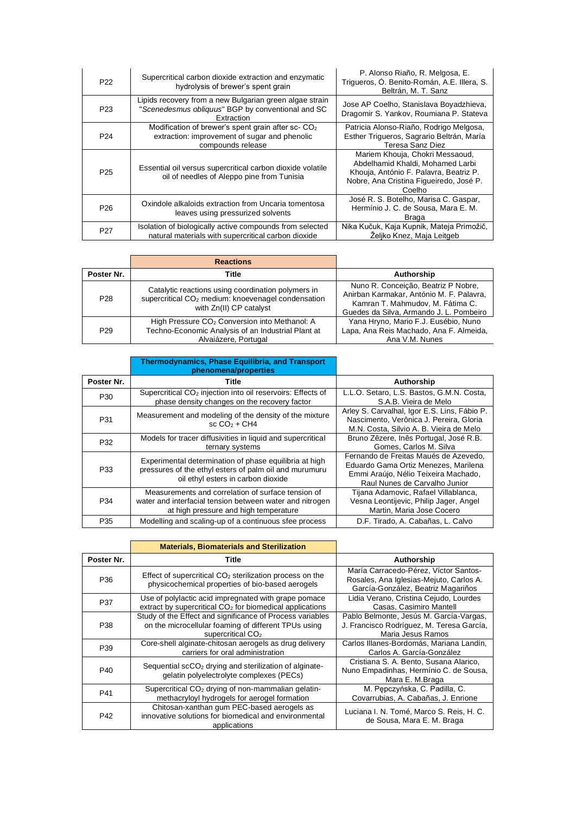| P <sub>22</sub> | Supercritical carbon dioxide extraction and enzymatic<br>hydrolysis of brewer's spent grain                                          | P. Alonso Riaño, R. Melgosa, E.<br>Triqueros, Ó. Benito-Román, A.E. Illera, S.<br>Beltrán, M. T. Sanz                                                              |
|-----------------|--------------------------------------------------------------------------------------------------------------------------------------|--------------------------------------------------------------------------------------------------------------------------------------------------------------------|
| P <sub>23</sub> | Lipids recovery from a new Bulgarian green algae strain<br>"Scenedesmus obliquus" BGP by conventional and SC<br>Extraction           | Jose AP Coelho, Stanislava Boyadzhieva,<br>Dragomir S. Yankov, Roumiana P. Stateva                                                                                 |
| P <sub>24</sub> | Modification of brewer's spent grain after sc- CO <sub>2</sub><br>extraction: improvement of sugar and phenolic<br>compounds release | Patricia Alonso-Riaño, Rodrigo Melgosa,<br>Esther Trigueros, Sagrario Beltrán, María<br>Teresa Sanz Diez                                                           |
| P <sub>25</sub> | Essential oil versus supercritical carbon dioxide volatile<br>oil of needles of Aleppo pine from Tunisia                             | Mariem Khouja, Chokri Messaoud,<br>Abdelhamid Khaldi, Mohamed Larbi<br>Khouja, António F. Palavra, Beatriz P.<br>Nobre, Ana Cristina Figueiredo, José P.<br>Coelho |
| P <sub>26</sub> | Oxindole alkaloids extraction from Uncaria tomentosa<br>leaves using pressurized solvents                                            | José R. S. Botelho, Marisa C. Gaspar,<br>Hermínio J. C. de Sousa, Mara E. M.<br>Braga                                                                              |
| P <sub>27</sub> | Isolation of biologically active compounds from selected<br>natural materials with supercritical carbon dioxide                      | Nika Kučuk, Kaja Kupnik, Mateja Primožič,<br>Željko Knez, Maja Leitgeb                                                                                             |

|                 | <b>Reactions</b>                                                                                                                                |                                                                                                                                                                |
|-----------------|-------------------------------------------------------------------------------------------------------------------------------------------------|----------------------------------------------------------------------------------------------------------------------------------------------------------------|
| Poster Nr.      | Title                                                                                                                                           | Authorship                                                                                                                                                     |
| P <sub>28</sub> | Catalytic reactions using coordination polymers in<br>supercritical CO <sub>2</sub> medium: knoevenagel condensation<br>with Zn(II) CP catalyst | Nuno R. Conceição, Beatriz P Nobre,<br>Anirban Karmakar, António M. F. Palavra,<br>Kamran T. Mahmudov, M. Fátima C.<br>Guedes da Silva, Armando J. L. Pombeiro |
| P <sub>29</sub> | High Pressure CO <sub>2</sub> Conversion into Methanol: A<br>Techno-Economic Analysis of an Industrial Plant at<br>Alvaiázere, Portugal         | Yana Hryno, Mario F.J. Eusébio, Nuno<br>Lapa, Ana Reis Machado, Ana F. Almeida,<br>Ana V.M. Nunes                                                              |

|                 | <b>Thermodynamics, Phase Equilibria, and Transport</b><br>phenomena/properties                                                                          |                                                                                                                                                        |
|-----------------|---------------------------------------------------------------------------------------------------------------------------------------------------------|--------------------------------------------------------------------------------------------------------------------------------------------------------|
| Poster Nr.      | Title                                                                                                                                                   | Authorship                                                                                                                                             |
| P <sub>30</sub> | Supercritical CO <sub>2</sub> injection into oil reservoirs: Effects of<br>phase density changes on the recovery factor                                 | L.L.O. Setaro, L.S. Bastos, G.M.N. Costa,<br>S.A.B. Vieira de Melo                                                                                     |
| P31             | Measurement and modeling of the density of the mixture<br>sc $CO2 + CH4$                                                                                | Arley S. Carvalhal, Igor E.S. Lins, Fábio P.<br>Nascimento, Verônica J. Pereira, Gloria<br>M.N. Costa, Silvio A. B. Vieira de Melo                     |
| P32             | Models for tracer diffusivities in liquid and supercritical<br>ternary systems                                                                          | Bruno Zêzere, Inês Portugal, José R.B.<br>Gomes, Carlos M. Silva                                                                                       |
| P33             | Experimental determination of phase equilibria at high<br>pressures of the ethyl esters of palm oil and murumuru<br>oil ethyl esters in carbon dioxide  | Fernando de Freitas Maués de Azevedo.<br>Eduardo Gama Ortiz Menezes, Marilena<br>Emmi Araújo, Nélio Teixeira Machado,<br>Raul Nunes de Carvalho Junior |
| P34             | Measurements and correlation of surface tension of<br>water and interfacial tension between water and nitrogen<br>at high pressure and high temperature | Tijana Adamovic, Rafael Villablanca,<br>Vesna Leontijevic, Philip Jager, Angel<br>Martin, Maria Jose Cocero                                            |
| P35             | Modelling and scaling-up of a continuous sfee process                                                                                                   | D.F. Tirado, A. Cabañas, L. Calvo                                                                                                                      |

|                 | <b>Materials, Biomaterials and Sterilization</b>                                                                                                   |                                                                                                                        |
|-----------------|----------------------------------------------------------------------------------------------------------------------------------------------------|------------------------------------------------------------------------------------------------------------------------|
| Poster Nr.      | Title                                                                                                                                              | Authorship                                                                                                             |
| P <sub>36</sub> | Effect of supercritical $CO2$ sterilization process on the<br>physicochemical properties of bio-based aerogels                                     | María Carracedo-Pérez. Víctor Santos-<br>Rosales, Ana Iglesias-Mejuto, Carlos A.<br>García-González, Beatriz Magariños |
| P37             | Use of polylactic acid impregnated with grape pomace<br>extract by supercritical $CO2$ for biomedical applications                                 | Lidia Verano, Cristina Cejudo, Lourdes<br>Casas, Casimiro Mantell                                                      |
| P38             | Study of the Effect and significance of Process variables<br>on the microcellular foaming of different TPUs using<br>supercritical CO <sub>2</sub> | Pablo Belmonte, Jesús M. García-Vargas,<br>J. Francisco Rodríguez, M. Teresa García,<br>Maria Jesus Ramos              |
| P39             | Core-shell alginate-chitosan aerogels as drug delivery<br>carriers for oral administration                                                         | Carlos Illanes-Bordomás, Mariana Landín,<br>Carlos A. García-González                                                  |
| P40             | Sequential scCO <sub>2</sub> drying and sterilization of alginate-<br>gelatin polyelectrolyte complexes (PECs)                                     | Cristiana S. A. Bento, Susana Alarico,<br>Nuno Empadinhas, Hermínio C. de Sousa,<br>Mara E. M.Braga                    |
| P41             | Supercritical CO <sub>2</sub> drying of non-mammalian gelatin-<br>methacryloyl hydrogels for aerogel formation                                     | M. Pepczyńska, C. Padilla, C.<br>Covarrubias, A. Cabañas, J. Enrione                                                   |
| P42             | Chitosan-xanthan gum PEC-based aerogels as<br>innovative solutions for biomedical and environmental<br>applications                                | Luciana I. N. Tomé, Marco S. Reis, H. C.<br>de Sousa, Mara E. M. Braga                                                 |